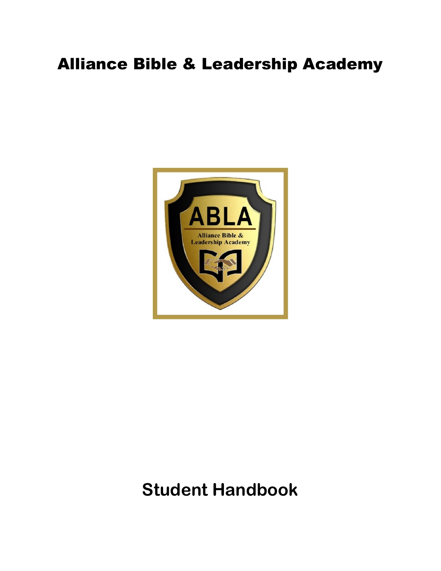# Alliance Bible & Leadership Academy



# **Student Handbook**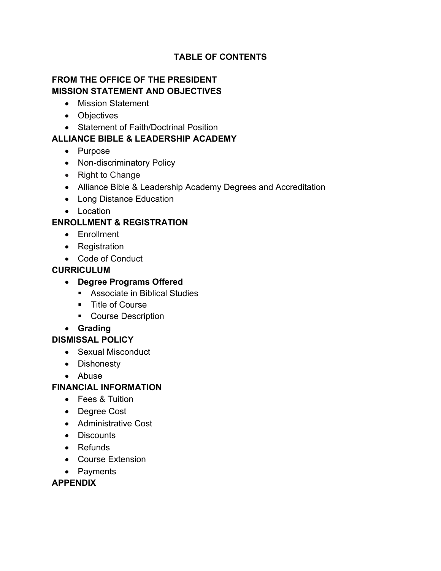## **TABLE OF CONTENTS**

## **FROM THE OFFICE OF THE PRESIDENT MISSION STATEMENT AND OBJECTIVES**

- Mission Statement
- Objectives
- Statement of Faith/Doctrinal Position

## **ALLIANCE BIBLE & LEADERSHIP ACADEMY**

- Purpose
- Non-discriminatory Policy
- Right to Change
- Alliance Bible & Leadership Academy Degrees and Accreditation
- Long Distance Education
- Location

## **ENROLLMENT & REGISTRATION**

- Enrollment
- Registration
- Code of Conduct

## **CURRICULUM**

## • **Degree Programs Offered**

- Associate in Biblical Studies
- **E** Title of Course
- Course Description

#### • **Grading**

#### **DISMISSAL POLICY**

- Sexual Misconduct
- Dishonesty
- Abuse

#### **FINANCIAL INFORMATION**

- Fees & Tuition
- Degree Cost
- Administrative Cost
- Discounts
- Refunds
- Course Extension
- Payments

#### **APPENDIX**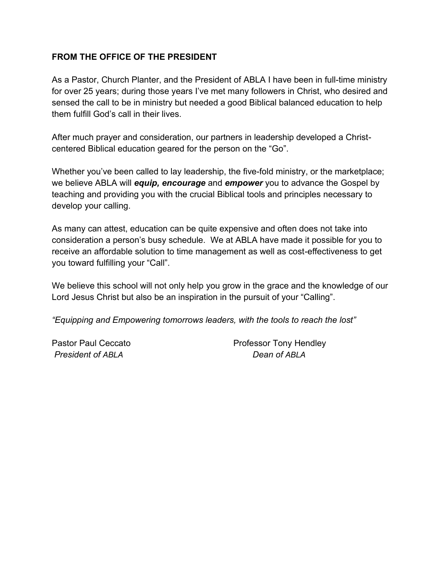## **FROM THE OFFICE OF THE PRESIDENT**

As a Pastor, Church Planter, and the President of ABLA I have been in full-time ministry for over 25 years; during those years I've met many followers in Christ, who desired and sensed the call to be in ministry but needed a good Biblical balanced education to help them fulfill God's call in their lives.

After much prayer and consideration, our partners in leadership developed a Christcentered Biblical education geared for the person on the "Go".

Whether you've been called to lay leadership, the five-fold ministry, or the marketplace; we believe ABLA will *equip, encourage* and *empower* you to advance the Gospel by teaching and providing you with the crucial Biblical tools and principles necessary to develop your calling.

As many can attest, education can be quite expensive and often does not take into consideration a person's busy schedule. We at ABLA have made it possible for you to receive an affordable solution to time management as well as cost-effectiveness to get you toward fulfilling your "Call".

We believe this school will not only help you grow in the grace and the knowledge of our Lord Jesus Christ but also be an inspiration in the pursuit of your "Calling".

*"Equipping and Empowering tomorrows leaders, with the tools to reach the lost"*

*President of ABLA Dean of ABLA*

Pastor Paul Ceccato **Professor Tony Hendley**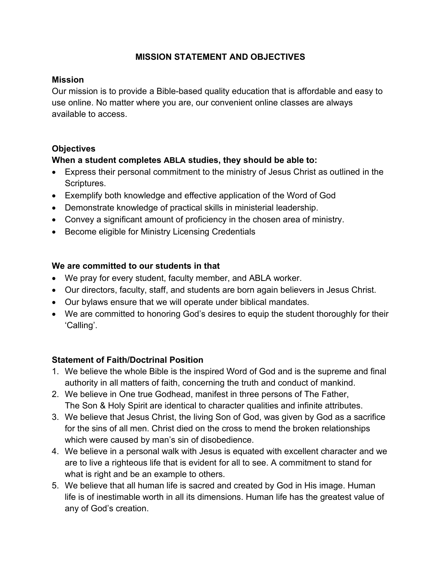## **MISSION STATEMENT AND OBJECTIVES**

#### **Mission**

Our mission is to provide a Bible-based quality education that is affordable and easy to use online. No matter where you are, our convenient online classes are always available to access.

#### **Objectives**

#### **When a student completes ABLA studies, they should be able to:**

- Express their personal commitment to the ministry of Jesus Christ as outlined in the Scriptures.
- Exemplify both knowledge and effective application of the Word of God
- Demonstrate knowledge of practical skills in ministerial leadership.
- Convey a significant amount of proficiency in the chosen area of ministry.
- Become eligible for Ministry Licensing Credentials

#### **We are committed to our students in that**

- We pray for every student, faculty member, and ABLA worker.
- Our directors, faculty, staff, and students are born again believers in Jesus Christ.
- Our bylaws ensure that we will operate under biblical mandates.
- We are committed to honoring God's desires to equip the student thoroughly for their 'Calling'.

#### **Statement of Faith/Doctrinal Position**

- 1. We believe the whole Bible is the inspired Word of God and is the supreme and final authority in all matters of faith, concerning the truth and conduct of mankind.
- 2. We believe in One true Godhead, manifest in three persons of The Father, The Son & Holy Spirit are identical to character qualities and infinite attributes.
- 3. We believe that Jesus Christ, the living Son of God, was given by God as a sacrifice for the sins of all men. Christ died on the cross to mend the broken relationships which were caused by man's sin of disobedience.
- 4. We believe in a personal walk with Jesus is equated with excellent character and we are to live a righteous life that is evident for all to see. A commitment to stand for what is right and be an example to others.
- 5. We believe that all human life is sacred and created by God in His image. Human life is of inestimable worth in all its dimensions. Human life has the greatest value of any of God's creation.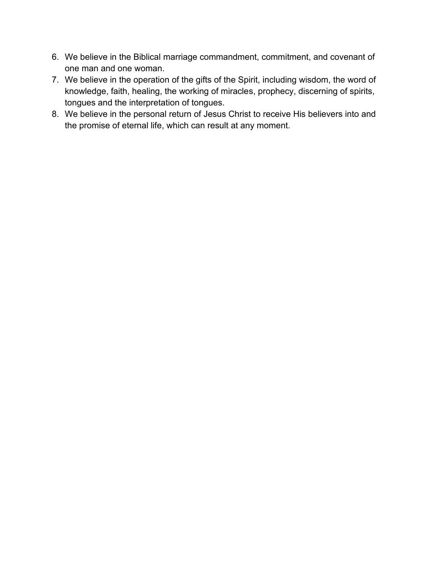- 6. We believe in the Biblical marriage commandment, commitment, and covenant of one man and one woman.
- 7. We believe in the operation of the gifts of the Spirit, including wisdom, the word of knowledge, faith, healing, the working of miracles, prophecy, discerning of spirits, tongues and the interpretation of tongues.
- 8. We believe in the personal return of Jesus Christ to receive His believers into and the promise of eternal life, which can result at any moment.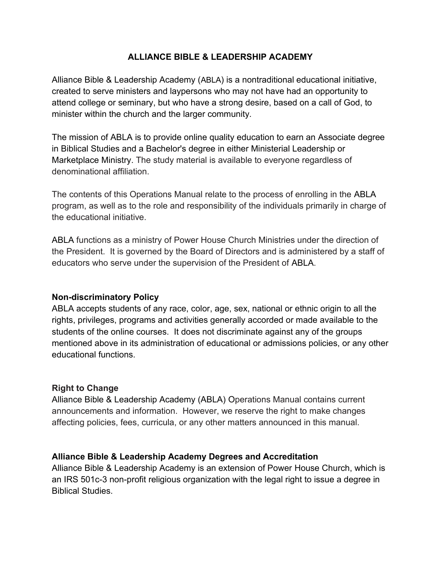### **ALLIANCE BIBLE & LEADERSHIP ACADEMY**

Alliance Bible & Leadership Academy (ABLA) is a nontraditional educational initiative, created to serve ministers and laypersons who may not have had an opportunity to attend college or seminary, but who have a strong desire, based on a call of God, to minister within the church and the larger community.

The mission of ABLA is to provide online quality education to earn an Associate degree in Biblical Studies and a Bachelor's degree in either Ministerial Leadership or Marketplace Ministry. The study material is available to everyone regardless of denominational affiliation.

The contents of this Operations Manual relate to the process of enrolling in the ABLA program, as well as to the role and responsibility of the individuals primarily in charge of the educational initiative.

ABLA functions as a ministry of Power House Church Ministries under the direction of the President. It is governed by the Board of Directors and is administered by a staff of educators who serve under the supervision of the President of ABLA.

#### **Non-discriminatory Policy**

ABLA accepts students of any race, color, age, sex, national or ethnic origin to all the rights, privileges, programs and activities generally accorded or made available to the students of the online courses. It does not discriminate against any of the groups mentioned above in its administration of educational or admissions policies, or any other educational functions.

#### **Right to Change**

Alliance Bible & Leadership Academy (ABLA) Operations Manual contains current announcements and information. However, we reserve the right to make changes affecting policies, fees, curricula, or any other matters announced in this manual.

#### **Alliance Bible & Leadership Academy Degrees and Accreditation**

Alliance Bible & Leadership Academy is an extension of Power House Church, which is an IRS 501c-3 non-profit religious organization with the legal right to issue a degree in Biblical Studies.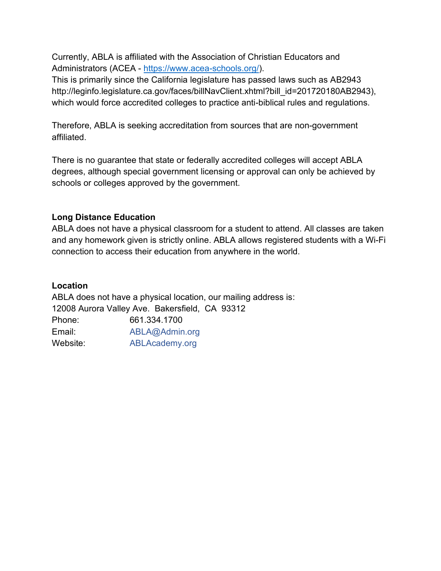Currently, ABLA is affiliated with the Association of Christian Educators and Administrators (ACEA - [https://www.acea-schools.org/\)](https://www.acea-schools.org/).

This is primarily since the California legislature has passed laws such as AB2943 http://leginfo.legislature.ca.gov/faces/billNavClient.xhtml?bill\_id=201720180AB2943), which would force accredited colleges to practice anti-biblical rules and regulations.

Therefore, ABLA is seeking accreditation from sources that are non-government affiliated.

There is no guarantee that state or federally accredited colleges will accept ABLA degrees, although special government licensing or approval can only be achieved by schools or colleges approved by the government.

## **Long Distance Education**

ABLA does not have a physical classroom for a student to attend. All classes are taken and any homework given is strictly online. ABLA allows registered students with a Wi-Fi connection to access their education from anywhere in the world.

#### **Location**

ABLA does not have a physical location, our mailing address is: 12008 Aurora Valley Ave. Bakersfield, CA 93312 Phone: 661.334.1700 Email: ABLA@Admin.org Website: ABLAcademy.org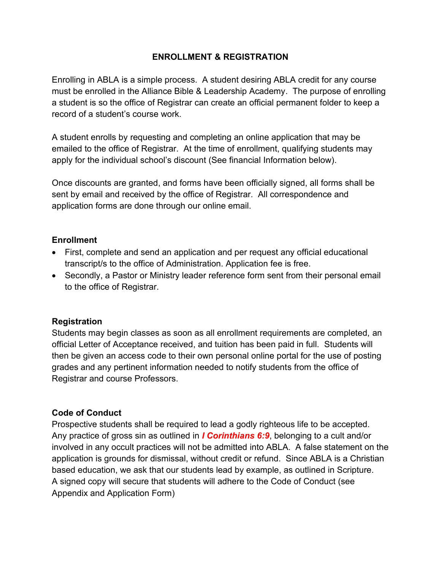#### **ENROLLMENT & REGISTRATION**

Enrolling in ABLA is a simple process. A student desiring ABLA credit for any course must be enrolled in the Alliance Bible & Leadership Academy. The purpose of enrolling a student is so the office of Registrar can create an official permanent folder to keep a record of a student's course work.

A student enrolls by requesting and completing an online application that may be emailed to the office of Registrar. At the time of enrollment, qualifying students may apply for the individual school's discount (See financial Information below).

Once discounts are granted, and forms have been officially signed, all forms shall be sent by email and received by the office of Registrar. All correspondence and application forms are done through our online email.

#### **Enrollment**

- First, complete and send an application and per request any official educational transcript/s to the office of Administration. Application fee is free.
- Secondly, a Pastor or Ministry leader reference form sent from their personal email to the office of Registrar.

#### **Registration**

Students may begin classes as soon as all enrollment requirements are completed, an official Letter of Acceptance received, and tuition has been paid in full. Students will then be given an access code to their own personal online portal for the use of posting grades and any pertinent information needed to notify students from the office of Registrar and course Professors.

#### **Code of Conduct**

Prospective students shall be required to lead a godly righteous life to be accepted. Any practice of gross sin as outlined in *I Corinthians 6:9*, belonging to a cult and/or involved in any occult practices will not be admitted into ABLA. A false statement on the application is grounds for dismissal, without credit or refund. Since ABLA is a Christian based education, we ask that our students lead by example, as outlined in Scripture. A signed copy will secure that students will adhere to the Code of Conduct (see Appendix and Application Form)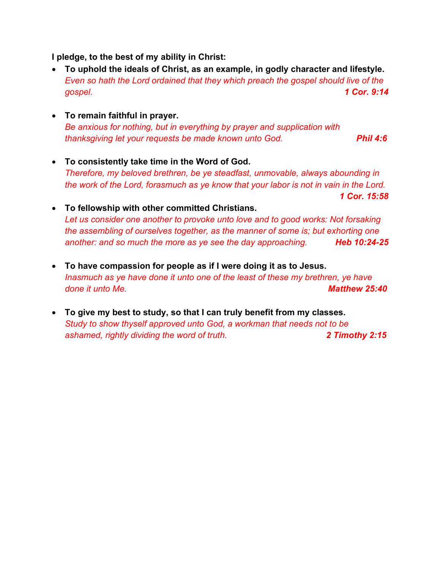**I pledge, to the best of my ability in Christ:**

- **To uphold the ideals of Christ, as an example, in godly character and lifestyle.**  *Even so hath the Lord ordained that they which preach the gospel should live of the gospel. 1 Cor. 9:14*
- **To remain faithful in prayer.**  *Be anxious for nothing, but in everything by prayer and supplication with thanksgiving let your requests be made known unto God. Phil 4:6*
- **To consistently take time in the Word of God.**  *Therefore, my beloved brethren, be ye steadfast, unmovable, always abounding in the work of the Lord, forasmuch as ye know that your labor is not in vain in the Lord. 1 Cor. 15:58*
- **To fellowship with other committed Christians.**  Let us consider one another to provoke unto love and to good works: Not forsaking *the assembling of ourselves together, as the manner of some is; but exhorting one another: and so much the more as ye see the day approaching. Heb 10:24-25*
- **To have compassion for people as if I were doing it as to Jesus.**  *Inasmuch as ye have done it unto one of the least of these my brethren, ye have done it unto Me. Matthew 25:40*
- **To give my best to study, so that I can truly benefit from my classes.**  *Study to show thyself approved unto God, a workman that needs not to be ashamed, rightly dividing the word of truth. 2 Timothy 2:15*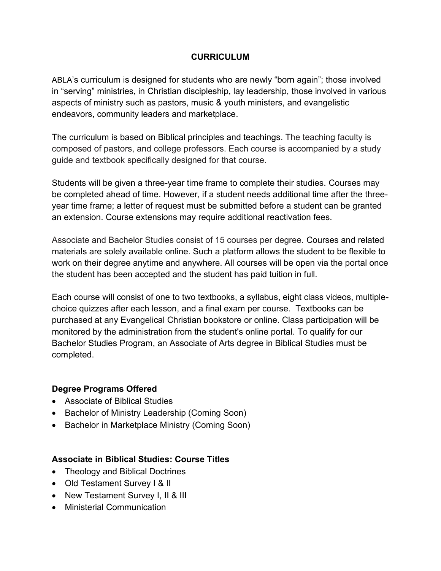#### **CURRICULUM**

ABLA's curriculum is designed for students who are newly "born again"; those involved in "serving" ministries, in Christian discipleship, lay leadership, those involved in various aspects of ministry such as pastors, music & youth ministers, and evangelistic endeavors, community leaders and marketplace.

The curriculum is based on Biblical principles and teachings. The teaching faculty is composed of pastors, and college professors. Each course is accompanied by a study guide and textbook specifically designed for that course.

Students will be given a three-year time frame to complete their studies. Courses may be completed ahead of time. However, if a student needs additional time after the threeyear time frame; a letter of request must be submitted before a student can be granted an extension. Course extensions may require additional reactivation fees.

Associate and Bachelor Studies consist of 15 courses per degree. Courses and related materials are solely available online. Such a platform allows the student to be flexible to work on their degree anytime and anywhere. All courses will be open via the portal once the student has been accepted and the student has paid tuition in full.

Each course will consist of one to two textbooks, a syllabus, eight class videos, multiplechoice quizzes after each lesson, and a final exam per course. Textbooks can be purchased at any Evangelical Christian bookstore or online. Class participation will be monitored by the administration from the student's online portal. To qualify for our Bachelor Studies Program, an Associate of Arts degree in Biblical Studies must be completed.

## **Degree Programs Offered**

- Associate of Biblical Studies
- Bachelor of Ministry Leadership (Coming Soon)
- Bachelor in Marketplace Ministry (Coming Soon)

## **Associate in Biblical Studies: Course Titles**

- Theology and Biblical Doctrines
- Old Testament Survey I & II
- New Testament Survey I, II & III
- Ministerial Communication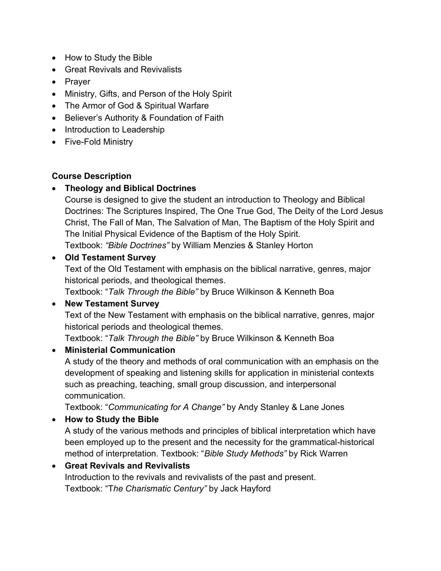- How to Study the Bible
- Great Revivals and Revivalists
- Prayer
- Ministry, Gifts, and Person of the Holy Spirit
- The Armor of God & Spiritual Warfare
- Believer's Authority & Foundation of Faith
- Introduction to Leadership
- Five-Fold Ministry

## **Course Description**

• **Theology and Biblical Doctrines**

Course is designed to give the student an introduction to Theology and Biblical Doctrines: The Scriptures Inspired, The One True God, The Deity of the Lord Jesus Christ, The Fall of Man, The Salvation of Man, The Baptism of the Holy Spirit and The Initial Physical Evidence of the Baptism of the Holy Spirit. Textbook: *"Bible Doctrines"* by William Menzies & Stanley Horton

## • **Old Testament Survey**

Text of the Old Testament with emphasis on the biblical narrative, genres, major historical periods, and theological themes.

Textbook: "*Talk Through the Bible"* by Bruce Wilkinson & Kenneth Boa

## • **New Testament Survey**

Text of the New Testament with emphasis on the biblical narrative, genres, major historical periods and theological themes.

Textbook: "*Talk Through the Bible"* by Bruce Wilkinson & Kenneth Boa

## • **Ministerial Communication**

A study of the theory and methods of oral communication with an emphasis on the development of speaking and listening skills for application in ministerial contexts such as preaching, teaching, small group discussion, and interpersonal communication.

Textbook: "*Communicating for A Change"* by Andy Stanley & Lane Jones

• **How to Study the Bible**

A study of the various methods and principles of biblical interpretation which have been employed up to the present and the necessity for the grammatical-historical method of interpretation. Textbook: "*Bible Study Methods"* by Rick Warren

## • **Great Revivals and Revivalists** Introduction to the revivals and revivalists of the past and present. Textbook: "T*he Charismatic Century"* by Jack Hayford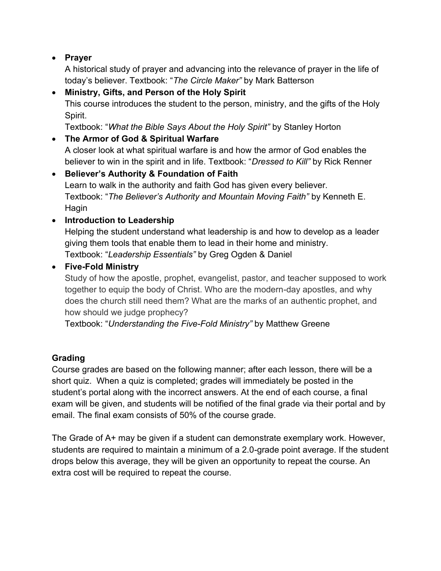• **Prayer**

A historical study of prayer and advancing into the relevance of prayer in the life of today's believer. Textbook: "*The Circle Maker"* by Mark Batterson

# • **Ministry, Gifts, and Person of the Holy Spirit**

This course introduces the student to the person, ministry, and the gifts of the Holy Spirit.

Textbook: "*What the Bible Says About the Holy Spirit"* by Stanley Horton

# • **The Armor of God & Spiritual Warfare**

A closer look at what spiritual warfare is and how the armor of God enables the believer to win in the spirit and in life. Textbook: "*Dressed to Kill"* by Rick Renner

# • **Believer's Authority & Foundation of Faith** Learn to walk in the authority and faith God has given every believer. Textbook: "*The Believer's Authority and Mountain Moving Faith"* by Kenneth E. Hagin

# • **Introduction to Leadership**

Helping the student understand what leadership is and how to develop as a leader giving them tools that enable them to lead in their home and ministry. Textbook: "*Leadership Essentials"* by Greg Ogden & Daniel

# • **Five-Fold Ministry**

Study of how the apostle, prophet, evangelist, pastor, and teacher supposed to work together to equip the body of Christ. Who are the modern-day apostles, and why does the church still need them? What are the marks of an authentic prophet, and how should we judge prophecy?

Textbook: "*Understanding the Five-Fold Ministry"* by Matthew Greene

# **Grading**

Course grades are based on the following manner; after each lesson, there will be a short quiz. When a quiz is completed; grades will immediately be posted in the student's portal along with the incorrect answers. At the end of each course, a final exam will be given, and students will be notified of the final grade via their portal and by email. The final exam consists of 50% of the course grade.

The Grade of A+ may be given if a student can demonstrate exemplary work. However, students are required to maintain a minimum of a 2.0-grade point average. If the student drops below this average, they will be given an opportunity to repeat the course. An extra cost will be required to repeat the course.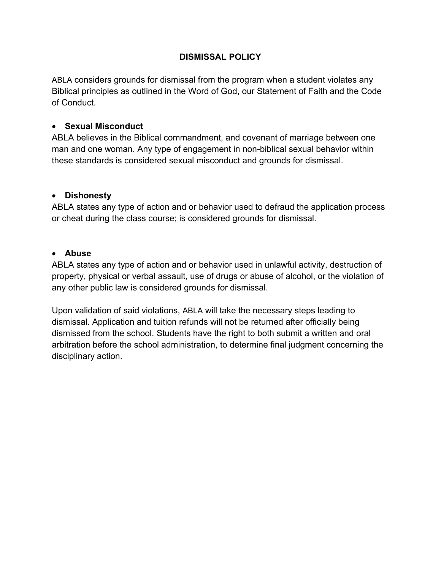## **DISMISSAL POLICY**

ABLA considers grounds for dismissal from the program when a student violates any Biblical principles as outlined in the Word of God, our Statement of Faith and the Code of Conduct.

#### • **Sexual Misconduct**

ABLA believes in the Biblical commandment, and covenant of marriage between one man and one woman. Any type of engagement in non-biblical sexual behavior within these standards is considered sexual misconduct and grounds for dismissal.

#### • **Dishonesty**

ABLA states any type of action and or behavior used to defraud the application process or cheat during the class course; is considered grounds for dismissal.

#### • **Abuse**

ABLA states any type of action and or behavior used in unlawful activity, destruction of property, physical or verbal assault, use of drugs or abuse of alcohol, or the violation of any other public law is considered grounds for dismissal.

Upon validation of said violations, ABLA will take the necessary steps leading to dismissal. Application and tuition refunds will not be returned after officially being dismissed from the school. Students have the right to both submit a written and oral arbitration before the school administration, to determine final judgment concerning the disciplinary action.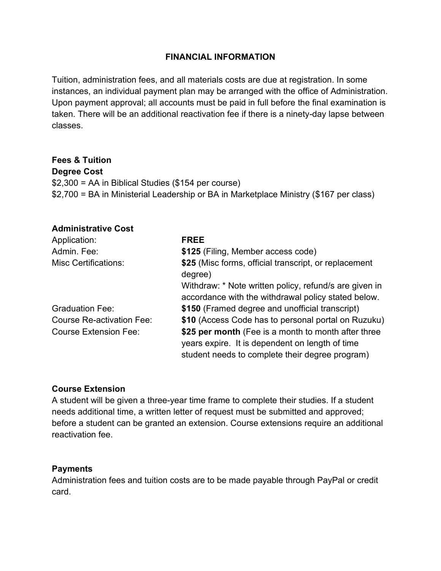#### **FINANCIAL INFORMATION**

Tuition, administration fees, and all materials costs are due at registration. In some instances, an individual payment plan may be arranged with the office of Administration. Upon payment approval; all accounts must be paid in full before the final examination is taken. There will be an additional reactivation fee if there is a ninety-day lapse between classes.

## **Fees & Tuition**

#### **Degree Cost**

\$2,300 = AA in Biblical Studies (\$154 per course) \$2,700 = BA in Ministerial Leadership or BA in Marketplace Ministry (\$167 per class)

| <b>Administrative Cost</b>       |                                                                                                               |  |
|----------------------------------|---------------------------------------------------------------------------------------------------------------|--|
| Application:                     | <b>FREE</b>                                                                                                   |  |
| Admin. Fee:                      | \$125 (Filing, Member access code)                                                                            |  |
| <b>Misc Certifications:</b>      | \$25 (Misc forms, official transcript, or replacement<br>degree)                                              |  |
|                                  | Withdraw: * Note written policy, refund/s are given in<br>accordance with the withdrawal policy stated below. |  |
| <b>Graduation Fee:</b>           | \$150 (Framed degree and unofficial transcript)                                                               |  |
| <b>Course Re-activation Fee:</b> | \$10 (Access Code has to personal portal on Ruzuku)                                                           |  |
| <b>Course Extension Fee:</b>     | \$25 per month (Fee is a month to month after three                                                           |  |
|                                  | years expire. It is dependent on length of time                                                               |  |
|                                  | student needs to complete their degree program)                                                               |  |

#### **Course Extension**

A student will be given a three-year time frame to complete their studies. If a student needs additional time, a written letter of request must be submitted and approved; before a student can be granted an extension. Course extensions require an additional reactivation fee.

#### **Payments**

Administration fees and tuition costs are to be made payable through PayPal or credit card.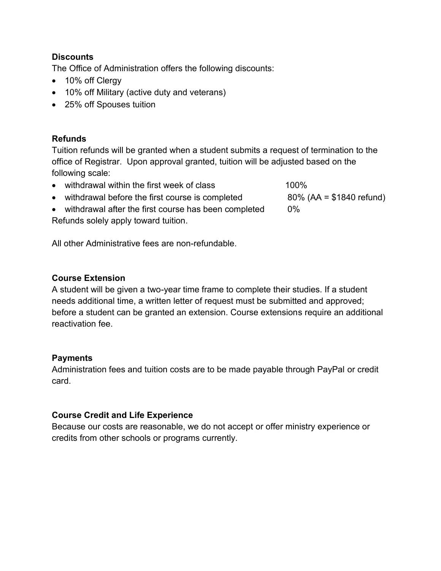#### **Discounts**

The Office of Administration offers the following discounts:

- 10% off Clergy
- 10% off Military (active duty and veterans)
- 25% off Spouses tuition

#### **Refunds**

Tuition refunds will be granted when a student submits a request of termination to the office of Registrar. Upon approval granted, tuition will be adjusted based on the following scale:

- withdrawal within the first week of class  $100\%$
- withdrawal before the first course is completed  $80\%$  (AA = \$1840 refund)
- withdrawal after the first course has been completed 0% Refunds solely apply toward tuition.

All other Administrative fees are non-refundable.

#### **Course Extension**

A student will be given a two-year time frame to complete their studies. If a student needs additional time, a written letter of request must be submitted and approved; before a student can be granted an extension. Course extensions require an additional reactivation fee.

#### **Payments**

Administration fees and tuition costs are to be made payable through PayPal or credit card.

#### **Course Credit and Life Experience**

Because our costs are reasonable, we do not accept or offer ministry experience or credits from other schools or programs currently.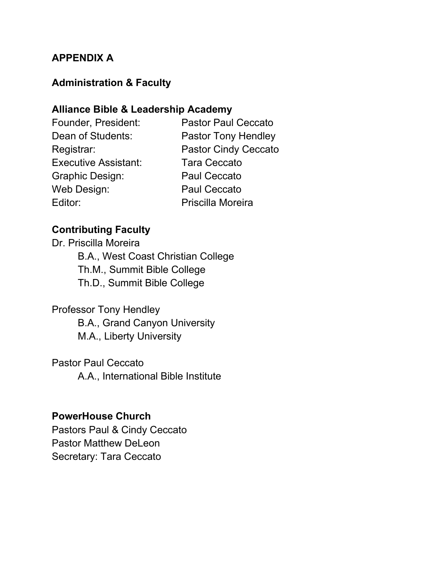# **APPENDIX A**

## **Administration & Faculty**

## **Alliance Bible & Leadership Academy**

Executive Assistant: Tara Ceccato Graphic Design: Paul Ceccato Web Design: Paul Ceccato Editor: Priscilla Moreira

Founder, President: Pastor Paul Ceccato Dean of Students: Pastor Tony Hendley Registrar: Pastor Cindy Ceccato

# **Contributing Faculty**

Dr. Priscilla Moreira B.A., West Coast Christian College Th.M., Summit Bible College Th.D., Summit Bible College

# Professor Tony Hendley

B.A., Grand Canyon University M.A., Liberty University

## Pastor Paul Ceccato

A.A., International Bible Institute

#### **PowerHouse Church**

Pastors Paul & Cindy Ceccato Pastor Matthew DeLeon Secretary: Tara Ceccato